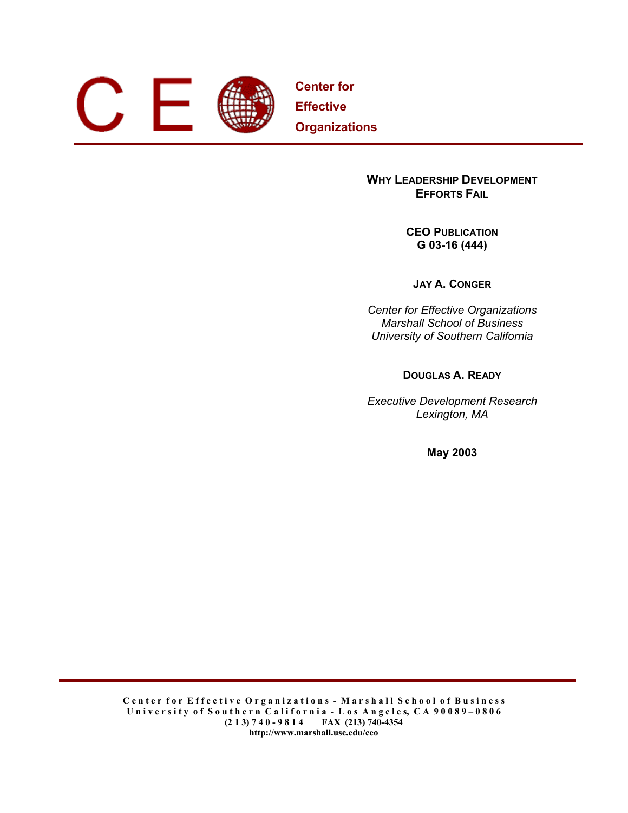

**Center for Effective Organizations**

# **WHY LEADERSHIP DEVELOPMENT EFFORTS FAIL**

**CEO PUBLICATION G 03-16 (444)** 

**JAY A. CONGER**

*Center for Effective Organizations Marshall School of Business University of Southern California* 

**DOUGLAS A. READY**

*Executive Development Research Lexington, MA* 

**May 2003**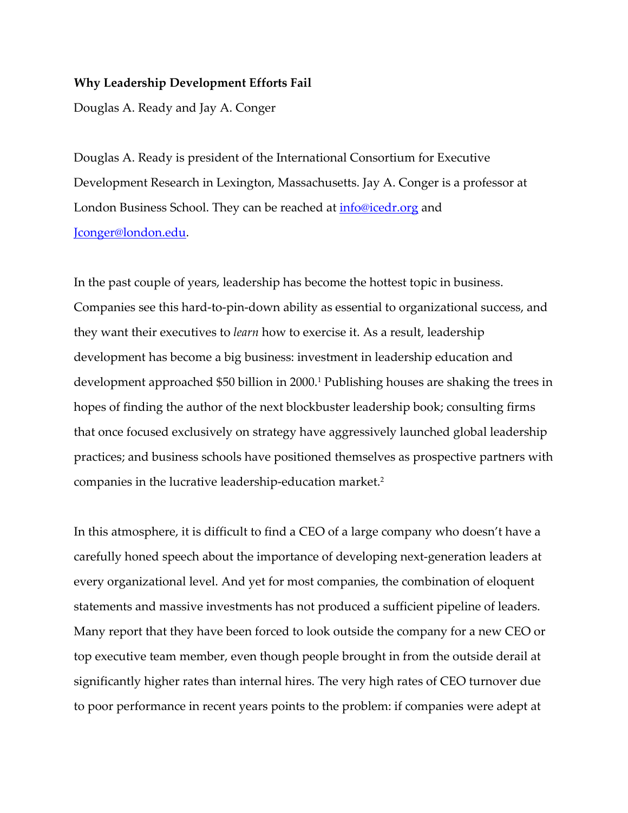# **Why Leadership Development Efforts Fail**

Douglas A. Ready and Jay A. Conger

Douglas A. Ready is president of the International Consortium for Executive Development Research in Lexington, Massachusetts. Jay A. Conger is a professor at London Business School. They can be reached at **info@icedr.org** and Jconger@london.edu.

In the past couple of years, leadership has become the hottest topic in business. Companies see this hard-to-pin-down ability as essential to organizational success, and they want their executives to *learn* how to exercise it. As a result, leadership development has become a big business: investment in leadership education and development approached \$50 billion in 2000.<sup>1</sup> Publishing houses are shaking the trees in hopes of finding the author of the next blockbuster leadership book; consulting firms that once focused exclusively on strategy have aggressively launched global leadership practices; and business schools have positioned themselves as prospective partners with companies in the lucrative leadership-education market.<sup>2</sup>

In this atmosphere, it is difficult to find a CEO of a large company who doesn't have a carefully honed speech about the importance of developing next-generation leaders at every organizational level. And yet for most companies, the combination of eloquent statements and massive investments has not produced a sufficient pipeline of leaders. Many report that they have been forced to look outside the company for a new CEO or top executive team member, even though people brought in from the outside derail at significantly higher rates than internal hires. The very high rates of CEO turnover due to poor performance in recent years points to the problem: if companies were adept at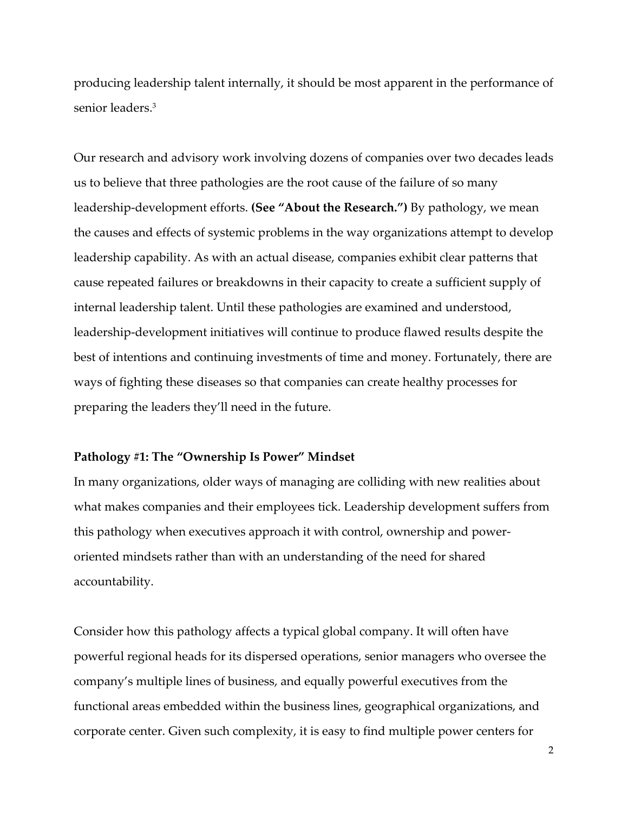producing leadership talent internally, it should be most apparent in the performance of senior leaders.<sup>3</sup>

Our research and advisory work involving dozens of companies over two decades leads us to believe that three pathologies are the root cause of the failure of so many leadership-development efforts. **(See "About the Research.")** By pathology, we mean the causes and effects of systemic problems in the way organizations attempt to develop leadership capability. As with an actual disease, companies exhibit clear patterns that cause repeated failures or breakdowns in their capacity to create a sufficient supply of internal leadership talent. Until these pathologies are examined and understood, leadership-development initiatives will continue to produce flawed results despite the best of intentions and continuing investments of time and money. Fortunately, there are ways of fighting these diseases so that companies can create healthy processes for preparing the leaders they'll need in the future.

# **Pathology #1: The "Ownership Is Power" Mindset**

In many organizations, older ways of managing are colliding with new realities about what makes companies and their employees tick. Leadership development suffers from this pathology when executives approach it with control, ownership and poweroriented mindsets rather than with an understanding of the need for shared accountability.

Consider how this pathology affects a typical global company. It will often have powerful regional heads for its dispersed operations, senior managers who oversee the company's multiple lines of business, and equally powerful executives from the functional areas embedded within the business lines, geographical organizations, and corporate center. Given such complexity, it is easy to find multiple power centers for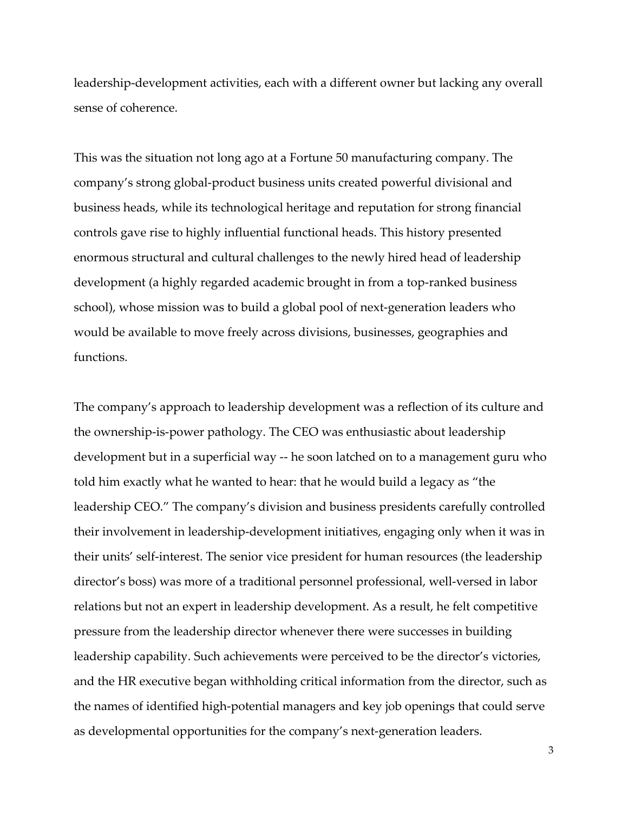leadership-development activities, each with a different owner but lacking any overall sense of coherence.

This was the situation not long ago at a Fortune 50 manufacturing company. The company's strong global-product business units created powerful divisional and business heads, while its technological heritage and reputation for strong financial controls gave rise to highly influential functional heads. This history presented enormous structural and cultural challenges to the newly hired head of leadership development (a highly regarded academic brought in from a top-ranked business school), whose mission was to build a global pool of next-generation leaders who would be available to move freely across divisions, businesses, geographies and functions.

The company's approach to leadership development was a reflection of its culture and the ownership-is-power pathology. The CEO was enthusiastic about leadership development but in a superficial way -- he soon latched on to a management guru who told him exactly what he wanted to hear: that he would build a legacy as "the leadership CEO." The company's division and business presidents carefully controlled their involvement in leadership-development initiatives, engaging only when it was in their units' self-interest. The senior vice president for human resources (the leadership director's boss) was more of a traditional personnel professional, well-versed in labor relations but not an expert in leadership development. As a result, he felt competitive pressure from the leadership director whenever there were successes in building leadership capability. Such achievements were perceived to be the director's victories, and the HR executive began withholding critical information from the director, such as the names of identified high-potential managers and key job openings that could serve as developmental opportunities for the company's next-generation leaders.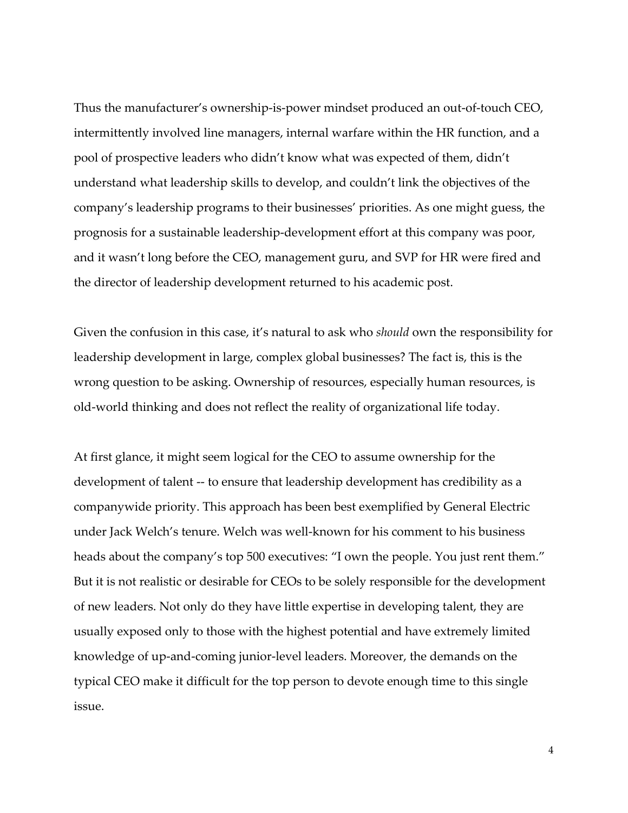Thus the manufacturer's ownership-is-power mindset produced an out-of-touch CEO, intermittently involved line managers, internal warfare within the HR function, and a pool of prospective leaders who didn't know what was expected of them, didn't understand what leadership skills to develop, and couldn't link the objectives of the company's leadership programs to their businesses' priorities. As one might guess, the prognosis for a sustainable leadership-development effort at this company was poor, and it wasn't long before the CEO, management guru, and SVP for HR were fired and the director of leadership development returned to his academic post.

Given the confusion in this case, it's natural to ask who *should* own the responsibility for leadership development in large, complex global businesses? The fact is, this is the wrong question to be asking. Ownership of resources, especially human resources, is old-world thinking and does not reflect the reality of organizational life today.

At first glance, it might seem logical for the CEO to assume ownership for the development of talent -- to ensure that leadership development has credibility as a companywide priority. This approach has been best exemplified by General Electric under Jack Welch's tenure. Welch was well-known for his comment to his business heads about the company's top 500 executives: "I own the people. You just rent them." But it is not realistic or desirable for CEOs to be solely responsible for the development of new leaders. Not only do they have little expertise in developing talent, they are usually exposed only to those with the highest potential and have extremely limited knowledge of up-and-coming junior-level leaders. Moreover, the demands on the typical CEO make it difficult for the top person to devote enough time to this single issue.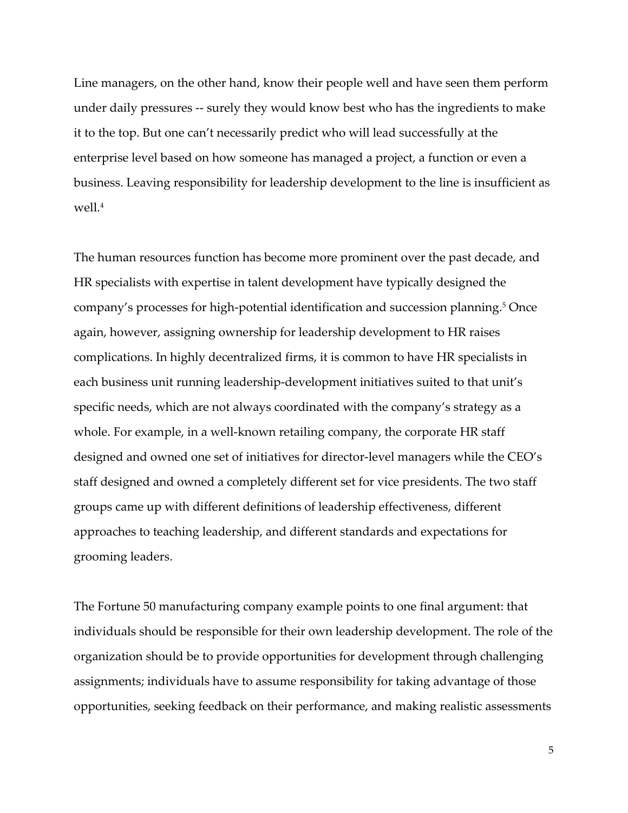Line managers, on the other hand, know their people well and have seen them perform under daily pressures -- surely they would know best who has the ingredients to make it to the top. But one can't necessarily predict who will lead successfully at the enterprise level based on how someone has managed a project, a function or even a business. Leaving responsibility for leadership development to the line is insufficient as well.<sup>4</sup>

The human resources function has become more prominent over the past decade, and HR specialists with expertise in talent development have typically designed the company's processes for high-potential identification and succession planning.<sup>5</sup> Once again, however, assigning ownership for leadership development to HR raises complications. In highly decentralized firms, it is common to have HR specialists in each business unit running leadership-development initiatives suited to that unit's specific needs, which are not always coordinated with the company's strategy as a whole. For example, in a well-known retailing company, the corporate HR staff designed and owned one set of initiatives for director-level managers while the CEO's staff designed and owned a completely different set for vice presidents. The two staff groups came up with different definitions of leadership effectiveness, different approaches to teaching leadership, and different standards and expectations for grooming leaders.

The Fortune 50 manufacturing company example points to one final argument: that individuals should be responsible for their own leadership development. The role of the organization should be to provide opportunities for development through challenging assignments; individuals have to assume responsibility for taking advantage of those opportunities, seeking feedback on their performance, and making realistic assessments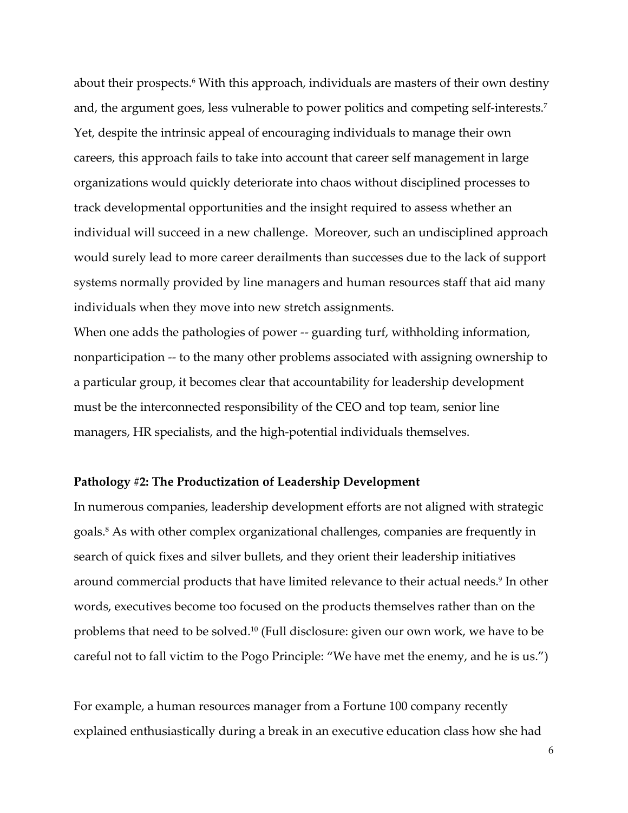about their prospects.<sup>6</sup> With this approach, individuals are masters of their own destiny and, the argument goes, less vulnerable to power politics and competing self-interests.<sup>7</sup> Yet, despite the intrinsic appeal of encouraging individuals to manage their own careers, this approach fails to take into account that career self management in large organizations would quickly deteriorate into chaos without disciplined processes to track developmental opportunities and the insight required to assess whether an individual will succeed in a new challenge. Moreover, such an undisciplined approach would surely lead to more career derailments than successes due to the lack of support systems normally provided by line managers and human resources staff that aid many individuals when they move into new stretch assignments.

When one adds the pathologies of power -- guarding turf, withholding information, nonparticipation -- to the many other problems associated with assigning ownership to a particular group, it becomes clear that accountability for leadership development must be the interconnected responsibility of the CEO and top team, senior line managers, HR specialists, and the high-potential individuals themselves.

# **Pathology #2: The Productization of Leadership Development**

In numerous companies, leadership development efforts are not aligned with strategic goals.<sup>8</sup> As with other complex organizational challenges, companies are frequently in search of quick fixes and silver bullets, and they orient their leadership initiatives around commercial products that have limited relevance to their actual needs.<sup>9</sup> In other words, executives become too focused on the products themselves rather than on the problems that need to be solved.10 (Full disclosure: given our own work, we have to be careful not to fall victim to the Pogo Principle: "We have met the enemy, and he is us.")

For example, a human resources manager from a Fortune 100 company recently explained enthusiastically during a break in an executive education class how she had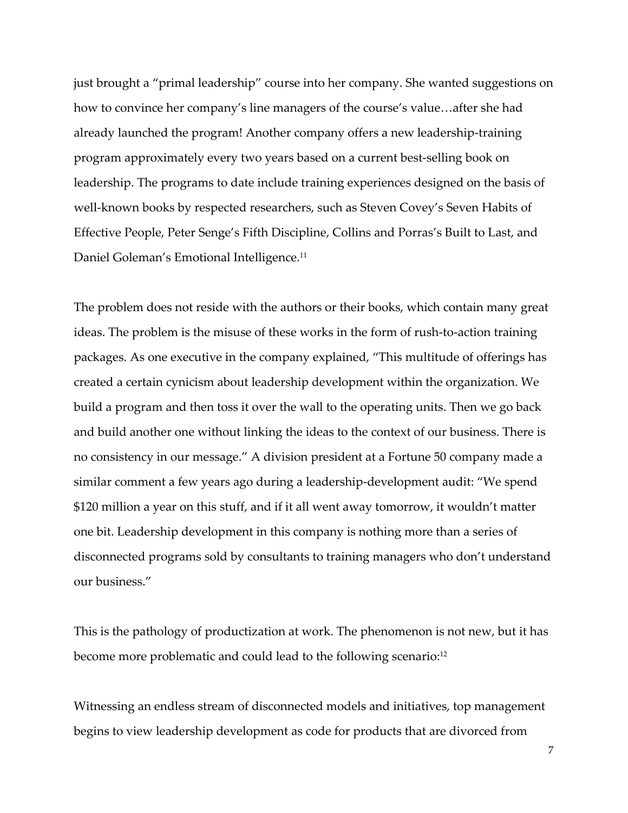just brought a "primal leadership" course into her company. She wanted suggestions on how to convince her company's line managers of the course's value…after she had already launched the program! Another company offers a new leadership-training program approximately every two years based on a current best-selling book on leadership. The programs to date include training experiences designed on the basis of well-known books by respected researchers, such as Steven Covey's Seven Habits of Effective People, Peter Senge's Fifth Discipline, Collins and Porras's Built to Last, and Daniel Goleman's Emotional Intelligence.<sup>11</sup>

The problem does not reside with the authors or their books, which contain many great ideas. The problem is the misuse of these works in the form of rush-to-action training packages. As one executive in the company explained, "This multitude of offerings has created a certain cynicism about leadership development within the organization. We build a program and then toss it over the wall to the operating units. Then we go back and build another one without linking the ideas to the context of our business. There is no consistency in our message." A division president at a Fortune 50 company made a similar comment a few years ago during a leadership-development audit: "We spend \$120 million a year on this stuff, and if it all went away tomorrow, it wouldn't matter one bit. Leadership development in this company is nothing more than a series of disconnected programs sold by consultants to training managers who don't understand our business."

This is the pathology of productization at work. The phenomenon is not new, but it has become more problematic and could lead to the following scenario:<sup>12</sup>

Witnessing an endless stream of disconnected models and initiatives, top management begins to view leadership development as code for products that are divorced from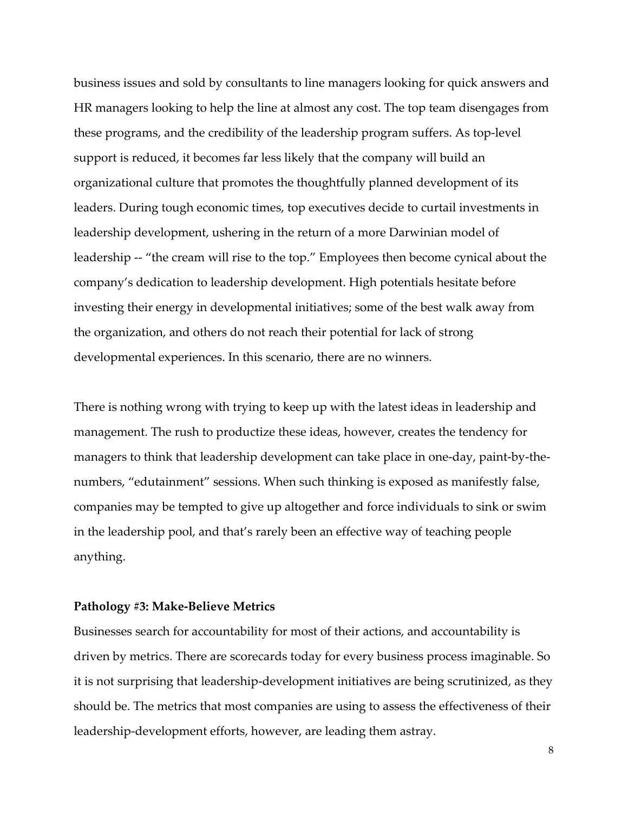business issues and sold by consultants to line managers looking for quick answers and HR managers looking to help the line at almost any cost. The top team disengages from these programs, and the credibility of the leadership program suffers. As top-level support is reduced, it becomes far less likely that the company will build an organizational culture that promotes the thoughtfully planned development of its leaders. During tough economic times, top executives decide to curtail investments in leadership development, ushering in the return of a more Darwinian model of leadership -- "the cream will rise to the top." Employees then become cynical about the company's dedication to leadership development. High potentials hesitate before investing their energy in developmental initiatives; some of the best walk away from the organization, and others do not reach their potential for lack of strong developmental experiences. In this scenario, there are no winners.

There is nothing wrong with trying to keep up with the latest ideas in leadership and management. The rush to productize these ideas, however, creates the tendency for managers to think that leadership development can take place in one-day, paint-by-thenumbers, "edutainment" sessions. When such thinking is exposed as manifestly false, companies may be tempted to give up altogether and force individuals to sink or swim in the leadership pool, and that's rarely been an effective way of teaching people anything.

#### **Pathology #3: Make-Believe Metrics**

Businesses search for accountability for most of their actions, and accountability is driven by metrics. There are scorecards today for every business process imaginable. So it is not surprising that leadership-development initiatives are being scrutinized, as they should be. The metrics that most companies are using to assess the effectiveness of their leadership-development efforts, however, are leading them astray.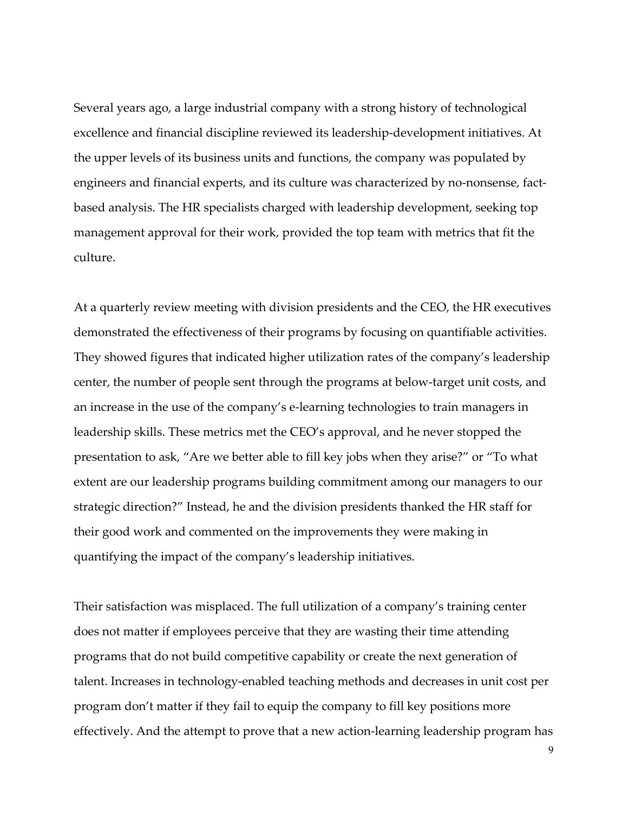Several years ago, a large industrial company with a strong history of technological excellence and financial discipline reviewed its leadership-development initiatives. At the upper levels of its business units and functions, the company was populated by engineers and financial experts, and its culture was characterized by no-nonsense, factbased analysis. The HR specialists charged with leadership development, seeking top management approval for their work, provided the top team with metrics that fit the culture.

At a quarterly review meeting with division presidents and the CEO, the HR executives demonstrated the effectiveness of their programs by focusing on quantifiable activities. They showed figures that indicated higher utilization rates of the company's leadership center, the number of people sent through the programs at below-target unit costs, and an increase in the use of the company's e-learning technologies to train managers in leadership skills. These metrics met the CEO's approval, and he never stopped the presentation to ask, "Are we better able to fill key jobs when they arise?" or "To what extent are our leadership programs building commitment among our managers to our strategic direction?" Instead, he and the division presidents thanked the HR staff for their good work and commented on the improvements they were making in quantifying the impact of the company's leadership initiatives.

Their satisfaction was misplaced. The full utilization of a company's training center does not matter if employees perceive that they are wasting their time attending programs that do not build competitive capability or create the next generation of talent. Increases in technology-enabled teaching methods and decreases in unit cost per program don't matter if they fail to equip the company to fill key positions more effectively. And the attempt to prove that a new action-learning leadership program has

9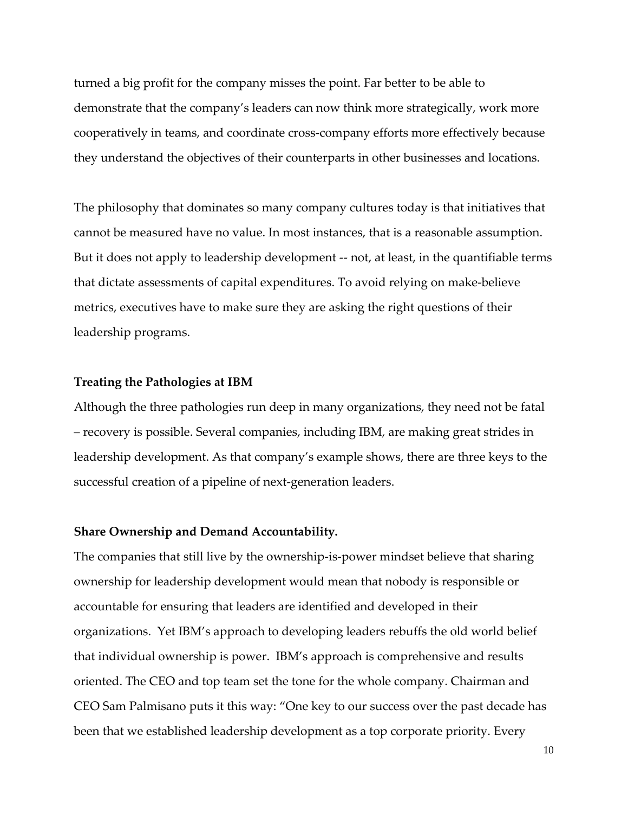turned a big profit for the company misses the point. Far better to be able to demonstrate that the company's leaders can now think more strategically, work more cooperatively in teams, and coordinate cross-company efforts more effectively because they understand the objectives of their counterparts in other businesses and locations.

The philosophy that dominates so many company cultures today is that initiatives that cannot be measured have no value. In most instances, that is a reasonable assumption. But it does not apply to leadership development -- not, at least, in the quantifiable terms that dictate assessments of capital expenditures. To avoid relying on make-believe metrics, executives have to make sure they are asking the right questions of their leadership programs.

#### **Treating the Pathologies at IBM**

Although the three pathologies run deep in many organizations, they need not be fatal – recovery is possible. Several companies, including IBM, are making great strides in leadership development. As that company's example shows, there are three keys to the successful creation of a pipeline of next-generation leaders.

#### **Share Ownership and Demand Accountability.**

The companies that still live by the ownership-is-power mindset believe that sharing ownership for leadership development would mean that nobody is responsible or accountable for ensuring that leaders are identified and developed in their organizations. Yet IBM's approach to developing leaders rebuffs the old world belief that individual ownership is power. IBM's approach is comprehensive and results oriented. The CEO and top team set the tone for the whole company. Chairman and CEO Sam Palmisano puts it this way: "One key to our success over the past decade has been that we established leadership development as a top corporate priority. Every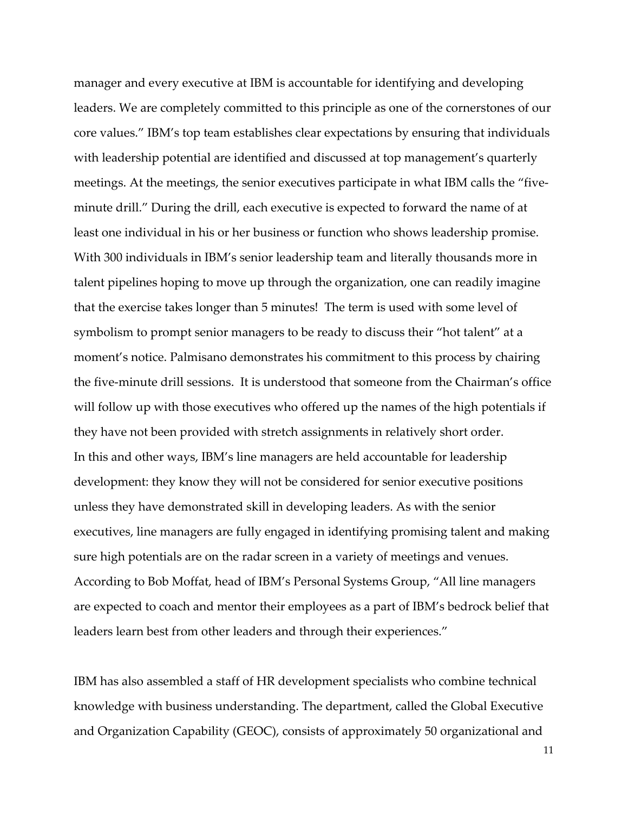manager and every executive at IBM is accountable for identifying and developing leaders. We are completely committed to this principle as one of the cornerstones of our core values." IBM's top team establishes clear expectations by ensuring that individuals with leadership potential are identified and discussed at top management's quarterly meetings. At the meetings, the senior executives participate in what IBM calls the "fiveminute drill." During the drill, each executive is expected to forward the name of at least one individual in his or her business or function who shows leadership promise. With 300 individuals in IBM's senior leadership team and literally thousands more in talent pipelines hoping to move up through the organization, one can readily imagine that the exercise takes longer than 5 minutes! The term is used with some level of symbolism to prompt senior managers to be ready to discuss their "hot talent" at a moment's notice. Palmisano demonstrates his commitment to this process by chairing the five-minute drill sessions. It is understood that someone from the Chairman's office will follow up with those executives who offered up the names of the high potentials if they have not been provided with stretch assignments in relatively short order. In this and other ways, IBM's line managers are held accountable for leadership development: they know they will not be considered for senior executive positions unless they have demonstrated skill in developing leaders. As with the senior executives, line managers are fully engaged in identifying promising talent and making sure high potentials are on the radar screen in a variety of meetings and venues. According to Bob Moffat, head of IBM's Personal Systems Group, "All line managers are expected to coach and mentor their employees as a part of IBM's bedrock belief that leaders learn best from other leaders and through their experiences."

IBM has also assembled a staff of HR development specialists who combine technical knowledge with business understanding. The department, called the Global Executive and Organization Capability (GEOC), consists of approximately 50 organizational and

11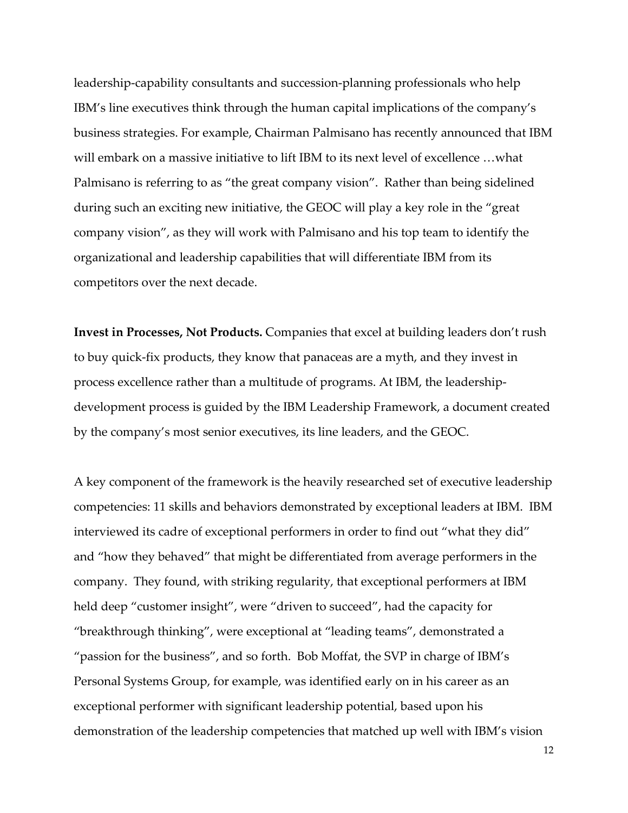leadership-capability consultants and succession-planning professionals who help IBM's line executives think through the human capital implications of the company's business strategies. For example, Chairman Palmisano has recently announced that IBM will embark on a massive initiative to lift IBM to its next level of excellence …what Palmisano is referring to as "the great company vision". Rather than being sidelined during such an exciting new initiative, the GEOC will play a key role in the "great company vision", as they will work with Palmisano and his top team to identify the organizational and leadership capabilities that will differentiate IBM from its competitors over the next decade.

**Invest in Processes, Not Products.** Companies that excel at building leaders don't rush to buy quick-fix products, they know that panaceas are a myth, and they invest in process excellence rather than a multitude of programs. At IBM, the leadershipdevelopment process is guided by the IBM Leadership Framework, a document created by the company's most senior executives, its line leaders, and the GEOC.

A key component of the framework is the heavily researched set of executive leadership competencies: 11 skills and behaviors demonstrated by exceptional leaders at IBM. IBM interviewed its cadre of exceptional performers in order to find out "what they did" and "how they behaved" that might be differentiated from average performers in the company. They found, with striking regularity, that exceptional performers at IBM held deep "customer insight", were "driven to succeed", had the capacity for "breakthrough thinking", were exceptional at "leading teams", demonstrated a "passion for the business", and so forth. Bob Moffat, the SVP in charge of IBM's Personal Systems Group, for example, was identified early on in his career as an exceptional performer with significant leadership potential, based upon his demonstration of the leadership competencies that matched up well with IBM's vision

12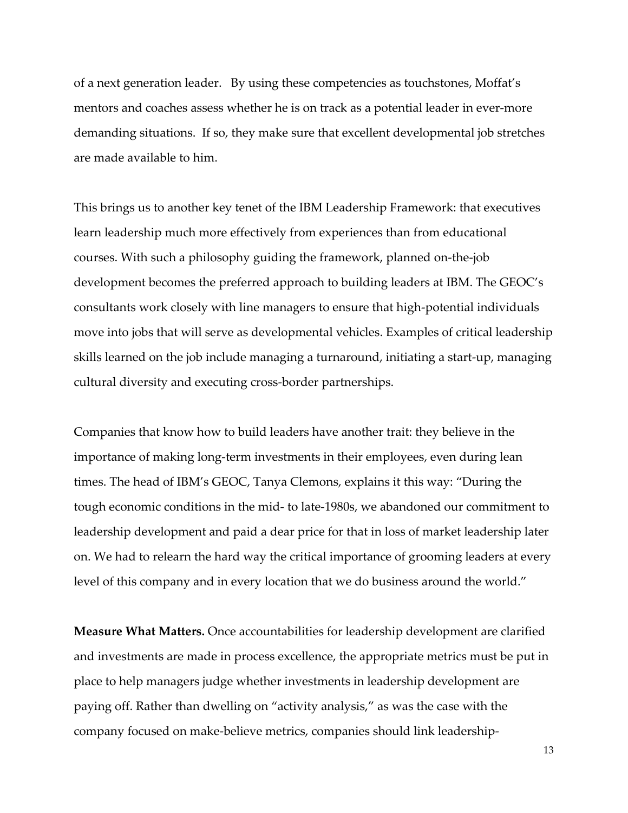of a next generation leader. By using these competencies as touchstones, Moffat's mentors and coaches assess whether he is on track as a potential leader in ever-more demanding situations. If so, they make sure that excellent developmental job stretches are made available to him.

This brings us to another key tenet of the IBM Leadership Framework: that executives learn leadership much more effectively from experiences than from educational courses. With such a philosophy guiding the framework, planned on-the-job development becomes the preferred approach to building leaders at IBM. The GEOC's consultants work closely with line managers to ensure that high-potential individuals move into jobs that will serve as developmental vehicles. Examples of critical leadership skills learned on the job include managing a turnaround, initiating a start-up, managing cultural diversity and executing cross-border partnerships.

Companies that know how to build leaders have another trait: they believe in the importance of making long-term investments in their employees, even during lean times. The head of IBM's GEOC, Tanya Clemons, explains it this way: "During the tough economic conditions in the mid- to late-1980s, we abandoned our commitment to leadership development and paid a dear price for that in loss of market leadership later on. We had to relearn the hard way the critical importance of grooming leaders at every level of this company and in every location that we do business around the world."

**Measure What Matters.** Once accountabilities for leadership development are clarified and investments are made in process excellence, the appropriate metrics must be put in place to help managers judge whether investments in leadership development are paying off. Rather than dwelling on "activity analysis," as was the case with the company focused on make-believe metrics, companies should link leadership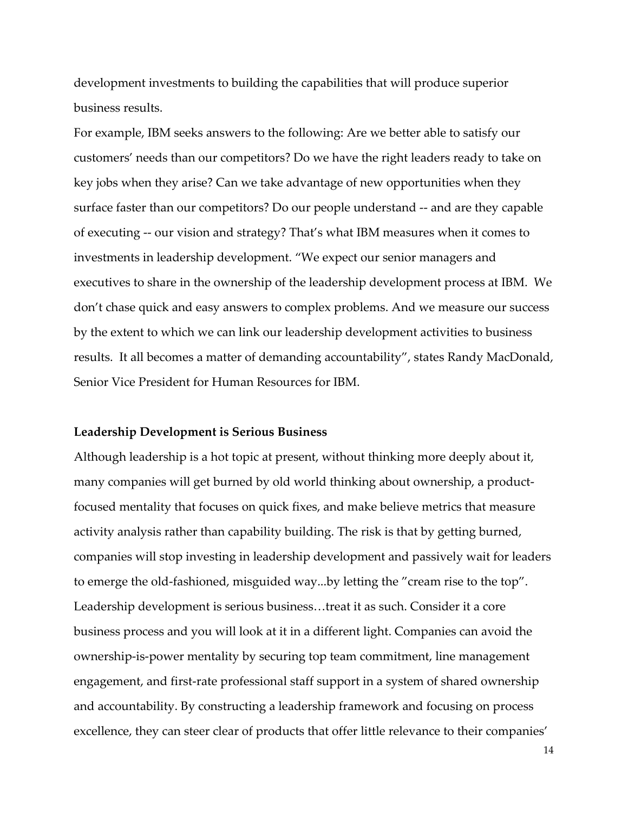development investments to building the capabilities that will produce superior business results.

For example, IBM seeks answers to the following: Are we better able to satisfy our customers' needs than our competitors? Do we have the right leaders ready to take on key jobs when they arise? Can we take advantage of new opportunities when they surface faster than our competitors? Do our people understand -- and are they capable of executing -- our vision and strategy? That's what IBM measures when it comes to investments in leadership development. "We expect our senior managers and executives to share in the ownership of the leadership development process at IBM. We don't chase quick and easy answers to complex problems. And we measure our success by the extent to which we can link our leadership development activities to business results. It all becomes a matter of demanding accountability", states Randy MacDonald, Senior Vice President for Human Resources for IBM.

#### **Leadership Development is Serious Business**

Although leadership is a hot topic at present, without thinking more deeply about it, many companies will get burned by old world thinking about ownership, a productfocused mentality that focuses on quick fixes, and make believe metrics that measure activity analysis rather than capability building. The risk is that by getting burned, companies will stop investing in leadership development and passively wait for leaders to emerge the old-fashioned, misguided way...by letting the "cream rise to the top". Leadership development is serious business…treat it as such. Consider it a core business process and you will look at it in a different light. Companies can avoid the ownership-is-power mentality by securing top team commitment, line management engagement, and first-rate professional staff support in a system of shared ownership and accountability. By constructing a leadership framework and focusing on process excellence, they can steer clear of products that offer little relevance to their companies'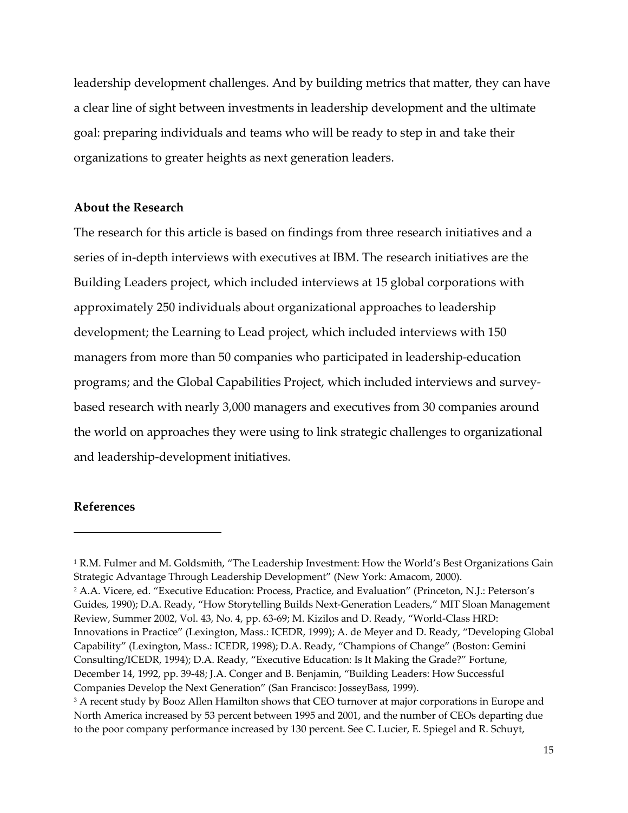leadership development challenges. And by building metrics that matter, they can have a clear line of sight between investments in leadership development and the ultimate goal: preparing individuals and teams who will be ready to step in and take their organizations to greater heights as next generation leaders.

### **About the Research**

The research for this article is based on findings from three research initiatives and a series of in-depth interviews with executives at IBM. The research initiatives are the Building Leaders project, which included interviews at 15 global corporations with approximately 250 individuals about organizational approaches to leadership development; the Learning to Lead project, which included interviews with 150 managers from more than 50 companies who participated in leadership-education programs; and the Global Capabilities Project, which included interviews and surveybased research with nearly 3,000 managers and executives from 30 companies around the world on approaches they were using to link strategic challenges to organizational and leadership-development initiatives.

# **References**

 $\overline{a}$ 

<sup>1</sup> R.M. Fulmer and M. Goldsmith, "The Leadership Investment: How the World's Best Organizations Gain Strategic Advantage Through Leadership Development" (New York: Amacom, 2000). 2 A.A. Vicere, ed. "Executive Education: Process, Practice, and Evaluation" (Princeton, N.J.: Peterson's Guides, 1990); D.A. Ready, "How Storytelling Builds Next-Generation Leaders," MIT Sloan Management Review, Summer 2002, Vol. 43, No. 4, pp. 63-69; M. Kizilos and D. Ready, "World-Class HRD: Innovations in Practice" (Lexington, Mass.: ICEDR, 1999); A. de Meyer and D. Ready, "Developing Global Capability" (Lexington, Mass.: ICEDR, 1998); D.A. Ready, "Champions of Change" (Boston: Gemini Consulting/ICEDR, 1994); D.A. Ready, "Executive Education: Is It Making the Grade?" Fortune, December 14, 1992, pp. 39-48; J.A. Conger and B. Benjamin, "Building Leaders: How Successful Companies Develop the Next Generation" (San Francisco: JosseyBass, 1999).

<sup>3</sup> A recent study by Booz Allen Hamilton shows that CEO turnover at major corporations in Europe and North America increased by 53 percent between 1995 and 2001, and the number of CEOs departing due to the poor company performance increased by 130 percent. See C. Lucier, E. Spiegel and R. Schuyt,